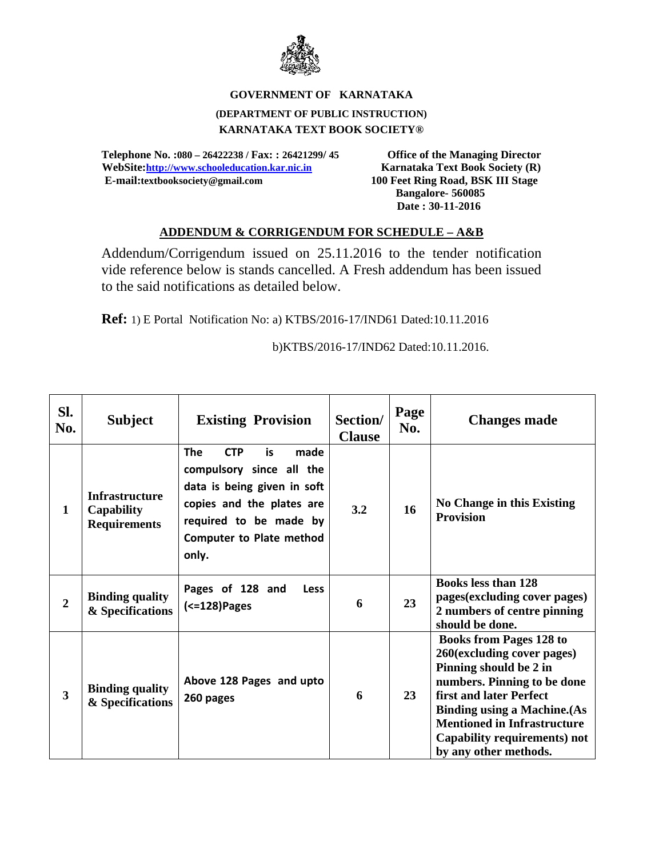

## **GOVERNMENT OF KARNATAKA (DEPARTMENT OF PUBLIC INSTRUCTION) KARNATAKA TEXT BOOK SOCIETY®**

**Telephone No. :080 – 26422238 / Fax: : 26421299/ 45 Office of the Managing Director**  WebSite:http://www.schooleducation.kar.nic.in **Karnataka Text Book Society (R) E-mail:textbooksociety@gmail.com 100 Feet Ring Road, BSK III Stage** 

 **Bangalore- 560085 Date : 30-11-2016** 

## **ADDENDUM & CORRIGENDUM FOR SCHEDULE – A&B**

Addendum/Corrigendum issued on 25.11.2016 to the tender notification vide reference below is stands cancelled. A Fresh addendum has been issued to the said notifications as detailed below.

**Ref:** 1) E Portal Notification No: a) KTBS/2016-17/IND61 Dated:10.11.2016

b)KTBS/2016-17/IND62 Dated:10.11.2016.

| Sl.<br>No.              | <b>Subject</b>                                                    | <b>Existing Provision</b>                                                                                                                                                                             | Section/<br><b>Clause</b> | Page<br>No. | <b>Changes made</b>                                                                                                                                                                                                                                                                    |
|-------------------------|-------------------------------------------------------------------|-------------------------------------------------------------------------------------------------------------------------------------------------------------------------------------------------------|---------------------------|-------------|----------------------------------------------------------------------------------------------------------------------------------------------------------------------------------------------------------------------------------------------------------------------------------------|
| 1                       | <b>Infrastructure</b><br><b>Capability</b><br><b>Requirements</b> | <b>The</b><br><b>CTP</b><br>is.<br>made<br>compulsory since all the<br>data is being given in soft<br>copies and the plates are<br>required to be made by<br><b>Computer to Plate method</b><br>only. | 3.2                       | 16          | No Change in this Existing<br><b>Provision</b>                                                                                                                                                                                                                                         |
| $\overline{2}$          | <b>Binding quality</b><br>& Specifications                        | Pages of 128 and<br><b>Less</b><br>(<=128)Pages                                                                                                                                                       | 6                         | 23          | <b>Books less than 128</b><br>pages(excluding cover pages)<br>2 numbers of centre pinning<br>should be done.                                                                                                                                                                           |
| $\overline{\mathbf{3}}$ | <b>Binding quality</b><br>& Specifications                        | Above 128 Pages and upto<br>260 pages                                                                                                                                                                 | 6                         | 23          | <b>Books from Pages 128 to</b><br>260(excluding cover pages)<br>Pinning should be 2 in<br>numbers. Pinning to be done<br>first and later Perfect<br><b>Binding using a Machine. (As</b><br><b>Mentioned in Infrastructure</b><br>Capability requirements) not<br>by any other methods. |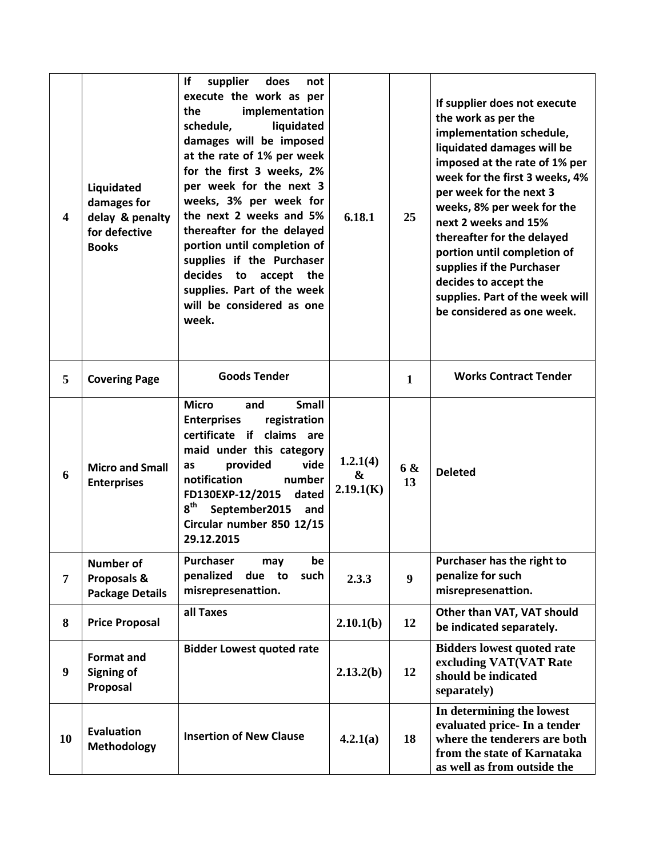| $\overline{\mathbf{4}}$ | Liquidated<br>damages for<br>delay & penalty<br>for defective<br><b>Books</b> | lf<br>supplier<br>does<br>not<br>execute the work as per<br>implementation<br>the<br>schedule,<br>liquidated<br>damages will be imposed<br>at the rate of 1% per week<br>for the first 3 weeks, 2%<br>per week for the next 3<br>weeks, 3% per week for<br>the next 2 weeks and 5%<br>thereafter for the delayed<br>portion until completion of<br>supplies if the Purchaser<br>decides<br>to accept the<br>supplies. Part of the week<br>will be considered as one<br>week. | 6.18.1                     | 25               | If supplier does not execute<br>the work as per the<br>implementation schedule,<br>liquidated damages will be<br>imposed at the rate of 1% per<br>week for the first 3 weeks, 4%<br>per week for the next 3<br>weeks, 8% per week for the<br>next 2 weeks and 15%<br>thereafter for the delayed<br>portion until completion of<br>supplies if the Purchaser<br>decides to accept the<br>supplies. Part of the week will<br>be considered as one week. |
|-------------------------|-------------------------------------------------------------------------------|------------------------------------------------------------------------------------------------------------------------------------------------------------------------------------------------------------------------------------------------------------------------------------------------------------------------------------------------------------------------------------------------------------------------------------------------------------------------------|----------------------------|------------------|-------------------------------------------------------------------------------------------------------------------------------------------------------------------------------------------------------------------------------------------------------------------------------------------------------------------------------------------------------------------------------------------------------------------------------------------------------|
| 5                       | <b>Covering Page</b>                                                          | <b>Goods Tender</b>                                                                                                                                                                                                                                                                                                                                                                                                                                                          |                            | $\mathbf{1}$     | <b>Works Contract Tender</b>                                                                                                                                                                                                                                                                                                                                                                                                                          |
| 6                       | <b>Micro and Small</b><br><b>Enterprises</b>                                  | <b>Micro</b><br><b>Small</b><br>and<br><b>Enterprises</b><br>registration<br>certificate if claims are<br>maid under this category<br>provided<br>vide<br>as<br>notification<br>number<br>FD130EXP-12/2015<br>dated<br>$8^{\text{th}}$<br>September2015<br>and<br>Circular number 850 12/15<br>29.12.2015                                                                                                                                                                    | 1.2.1(4)<br>&<br>2.19.1(K) | 6 &<br>13        | <b>Deleted</b>                                                                                                                                                                                                                                                                                                                                                                                                                                        |
| $\overline{7}$          | <b>Number of</b><br>Proposals &<br><b>Package Details</b>                     | <b>Purchaser</b><br>may<br>be<br>penalized<br>due to<br>such<br>misrepresenattion.                                                                                                                                                                                                                                                                                                                                                                                           | 2.3.3                      | $\boldsymbol{9}$ | Purchaser has the right to<br>penalize for such<br>misrepresenattion.                                                                                                                                                                                                                                                                                                                                                                                 |
| 8                       | <b>Price Proposal</b>                                                         | all Taxes                                                                                                                                                                                                                                                                                                                                                                                                                                                                    | 2.10.1(b)                  | 12               | Other than VAT, VAT should<br>be indicated separately.                                                                                                                                                                                                                                                                                                                                                                                                |
| 9                       | Format and<br><b>Signing of</b><br>Proposal                                   | <b>Bidder Lowest quoted rate</b>                                                                                                                                                                                                                                                                                                                                                                                                                                             | 2.13.2(b)                  | 12               | <b>Bidders lowest quoted rate</b><br>excluding VAT(VAT Rate<br>should be indicated<br>separately)                                                                                                                                                                                                                                                                                                                                                     |
| 10                      | <b>Evaluation</b><br><b>Methodology</b>                                       | <b>Insertion of New Clause</b>                                                                                                                                                                                                                                                                                                                                                                                                                                               | 4.2.1(a)                   | 18               | In determining the lowest<br>evaluated price- In a tender<br>where the tenderers are both<br>from the state of Karnataka<br>as well as from outside the                                                                                                                                                                                                                                                                                               |